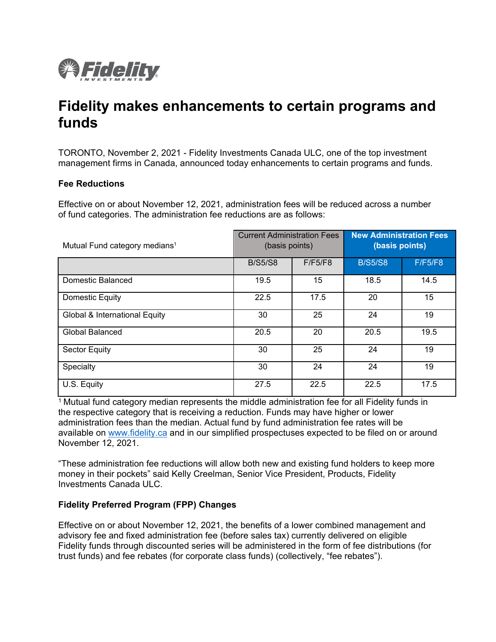

# **Fidelity makes enhancements to certain programs and funds**

TORONTO, November 2, 2021 - Fidelity Investments Canada ULC, one of the top investment management firms in Canada, announced today enhancements to certain programs and funds.

#### **Fee Reductions**

Effective on or about November 12, 2021, administration fees will be reduced across a number of fund categories. The administration fee reductions are as follows:

| Mutual Fund category medians <sup>1</sup> | <b>Current Administration Fees</b><br>(basis points) |         | <b>New Administration Fees</b><br>(basis points) |         |
|-------------------------------------------|------------------------------------------------------|---------|--------------------------------------------------|---------|
|                                           | <b>B/S5/S8</b>                                       | F/F5/F8 | <b>B/S5/S8</b>                                   | F/F5/F8 |
| Domestic Balanced                         | 19.5                                                 | 15      | 18.5                                             | 14.5    |
| Domestic Equity                           | 22.5                                                 | 17.5    | 20                                               | 15      |
| Global & International Equity             | 30                                                   | 25      | 24                                               | 19      |
| <b>Global Balanced</b>                    | 20.5                                                 | 20      | 20.5                                             | 19.5    |
| <b>Sector Equity</b>                      | 30                                                   | 25      | 24                                               | 19      |
| Specialty                                 | 30                                                   | 24      | 24                                               | 19      |
| U.S. Equity                               | 27.5                                                 | 22.5    | 22.5                                             | 17.5    |

 $1$  Mutual fund category median represents the middle administration fee for all Fidelity funds in the respective category that is receiving a reduction. Funds may have higher or lower administration fees than the median. Actual fund by fund administration fee rates will be available on [www.fidelity.ca](http://www.fidelity.ca/) and in our simplified prospectuses expected to be filed on or around November 12, 2021.

"These administration fee reductions will allow both new and existing fund holders to keep more money in their pockets" said Kelly Creelman, Senior Vice President, Products, Fidelity Investments Canada ULC.

# **Fidelity Preferred Program (FPP) Changes**

Effective on or about November 12, 2021, the benefits of a lower combined management and advisory fee and fixed administration fee (before sales tax) currently delivered on eligible Fidelity funds through discounted series will be administered in the form of fee distributions (for trust funds) and fee rebates (for corporate class funds) (collectively, "fee rebates").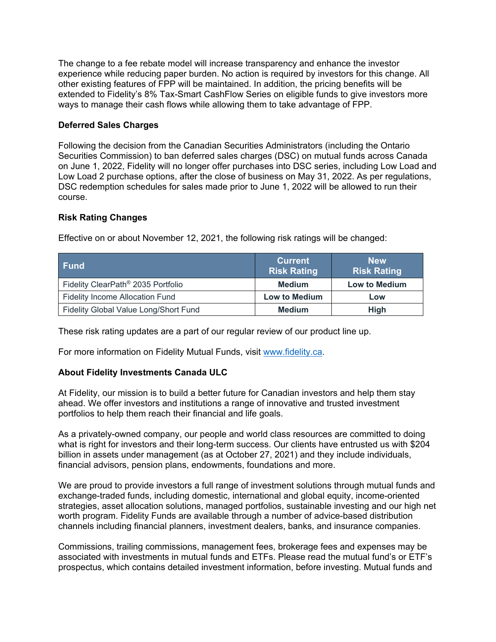The change to a fee rebate model will increase transparency and enhance the investor experience while reducing paper burden. No action is required by investors for this change. All other existing features of FPP will be maintained. In addition, the pricing benefits will be extended to Fidelity's 8% Tax-Smart CashFlow Series on eligible funds to give investors more ways to manage their cash flows while allowing them to take advantage of FPP.

# **Deferred Sales Charges**

Following the decision from the Canadian Securities Administrators (including the Ontario Securities Commission) to ban deferred sales charges (DSC) on mutual funds across Canada on June 1, 2022, Fidelity will no longer offer purchases into DSC series, including Low Load and Low Load 2 purchase options, after the close of business on May 31, 2022. As per regulations, DSC redemption schedules for sales made prior to June 1, 2022 will be allowed to run their course.

#### **Risk Rating Changes**

| ∣ Fundl                                        | <b>Current</b><br><b>Risk Rating</b> | <b>New</b><br><b>Risk Rating</b> |
|------------------------------------------------|--------------------------------------|----------------------------------|
| Fidelity ClearPath <sup>®</sup> 2035 Portfolio | <b>Medium</b>                        | <b>Low to Medium</b>             |
| <b>Fidelity Income Allocation Fund</b>         | <b>Low to Medium</b>                 | Low                              |
| Fidelity Global Value Long/Short Fund          | <b>Medium</b>                        | High                             |

Effective on or about November 12, 2021, the following risk ratings will be changed:

These risk rating updates are a part of our regular review of our product line up.

For more information on Fidelity Mutual Funds, visit [www.fidelity.ca.](http://www.fidelity.ca/)

#### **About Fidelity Investments Canada ULC**

At Fidelity, our mission is to build a better future for Canadian investors and help them stay ahead. We offer investors and institutions a range of innovative and trusted investment portfolios to help them reach their financial and life goals.

As a privately-owned company, our people and world class resources are committed to doing what is right for investors and their long-term success. Our clients have entrusted us with \$204 billion in assets under management (as at October 27, 2021) and they include individuals, financial advisors, pension plans, endowments, foundations and more.

We are proud to provide investors a full range of investment solutions through mutual funds and exchange-traded funds, including domestic, international and global equity, income-oriented strategies, asset allocation solutions, managed portfolios, sustainable investing and our high net worth program. Fidelity Funds are available through a number of advice-based distribution channels including financial planners, investment dealers, banks, and insurance companies.

Commissions, trailing commissions, management fees, brokerage fees and expenses may be associated with investments in mutual funds and ETFs. Please read the mutual fund's or ETF's prospectus, which contains detailed investment information, before investing. Mutual funds and